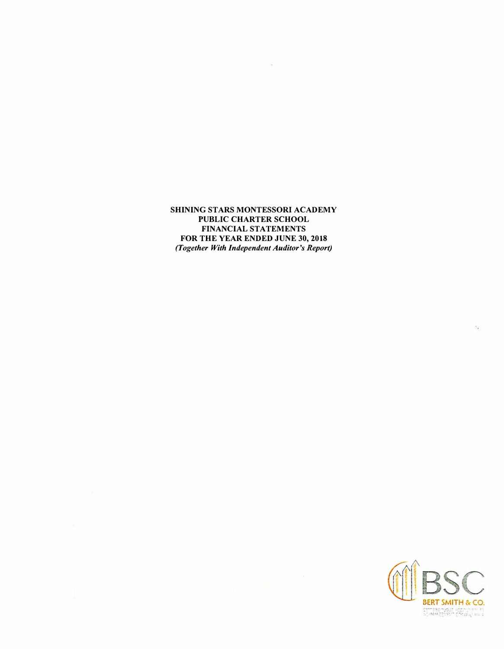**SHINING STARS MONTESSORI ACADEMY PUBLIC CHARTER SCHOOL FINANCIAL STATEMENTS FOR THE YEAR ENDED JUNE 30, 2018**  *(Together With Independent Auditor's Report)* 

 $\langle \mu \rangle$ 

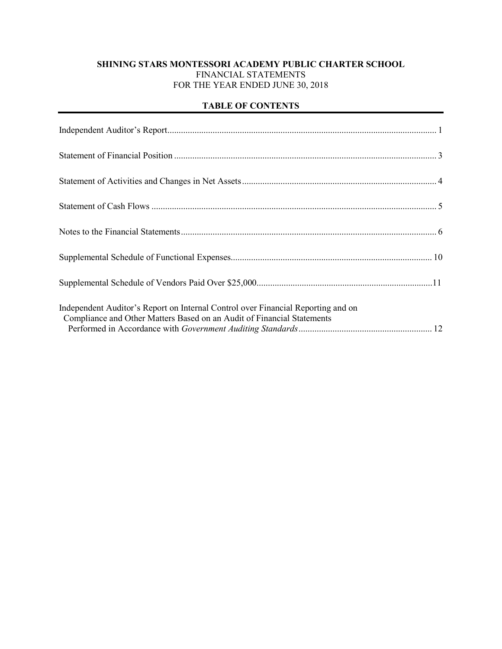# **SHINING STARS MONTESSORI ACADEMY PUBLIC CHARTER SCHOOL** FINANCIAL STATEMENTS FOR THE YEAR ENDED JUNE 30, 2018

# **TABLE OF CONTENTS**

| Independent Auditor's Report on Internal Control over Financial Reporting and on<br>Compliance and Other Matters Based on an Audit of Financial Statements |  |
|------------------------------------------------------------------------------------------------------------------------------------------------------------|--|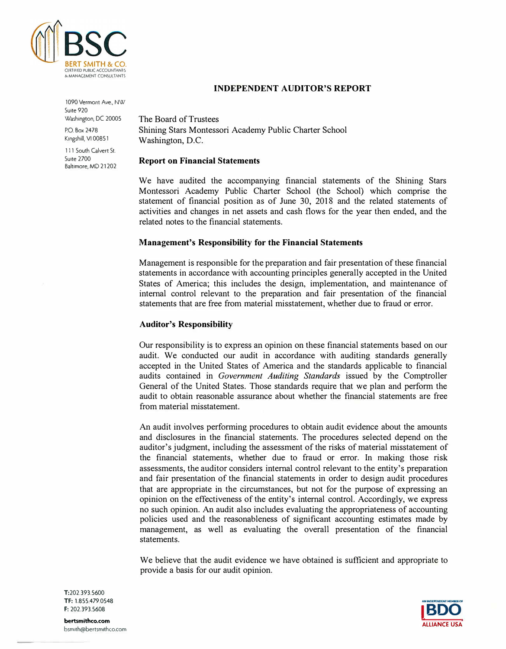

1090 Vermont Ave., NW Suite 920 Washington, DC 20005

P.O. Box 2478 Kingshill, VI 00851

111 South Calvert St. Suite 2700 Baltimore, MD 21202

# **INDEPENDENT AUDITOR'S REPORT**

The Board of Trustees Shining Stars Montessori Academy Public Charter School Washington, D.C.

## **Report on Financial Statements**

We have audited the accompanying financial statements of the Shining Stars Montessori Academy Public Charter School (the School) which comprise the statement of financial position as of June 30, 2018 and the related statements of activities and changes in net assets and cash flows for the year then ended, and the related notes to the financial statements.

## **Management's Responsibility for the Financial Statements**

Management is responsible for the preparation and fair presentation of these financial statements in accordance with accounting principles generally accepted in the United States of America; this includes the design, implementation, and maintenance of internal control relevant to the preparation and fair presentation of the financial statements that are free from material misstatement, whether due to fraud or error.

# **Auditor's Responsibility**

Our responsibility is to express an opinion on these financial statements based on our audit. We conducted our audit in accordance with auditing standards generally accepted in the United States of America and the standards applicable to financial audits contained in *Government Auditing Standards* issued by the Comptroller General of the United States. Those standards require that we plan and perform the audit to obtain reasonable assurance about whether the financial statements are free from material misstatement.

An audit involves performing procedures to obtain audit evidence about the amounts and disclosures in the financial statements. The procedures selected depend on the auditor's judgment, including the assessment of the risks of material misstatement of the financial statements, whether due to fraud or error. In making those risk assessments, the auditor considers internal control relevant to the entity's preparation and fair presentation of the financial statements in order to design audit procedures that are appropriate in the circumstances, but not for the purpose of expressing an opinion on the effectiveness of the entity's internal control. Accordingly, we express no such opinion. An audit also includes evaluating the appropriateness of accounting policies used and the reasonableness of significant accounting estimates made by management, as well as evaluating the overall presentation of the financial statements.

We believe that the audit evidence we have obtained is sufficient and appropriate to provide a basis for our audit opinion.



T:202.393.5600 TF: 1.855.479.0548 F: 202.393.5608

**bertsmithco.com**  bsmuh@bertsmuhco.com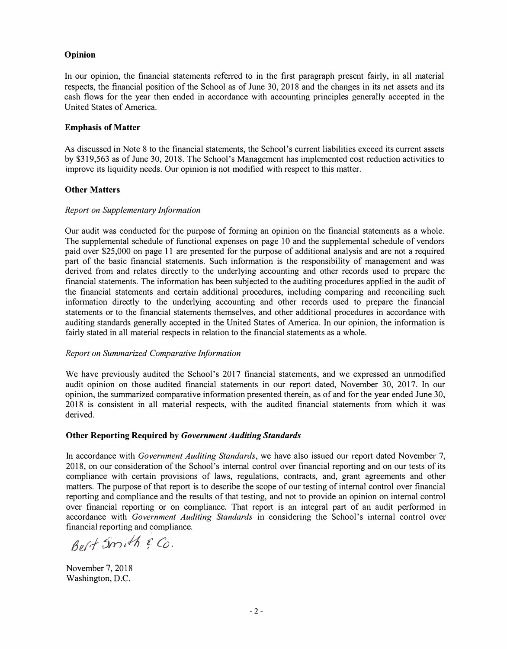## **Opinion**

In our opinion, the financial statements referred to in the first paragraph present fairly, in all material respects, the financial position of the School as of June 30, 2018 and the changes in its net assets and its cash flows for the year then ended in accordance with accounting principles generally accepted in the United States of America.

### **Emphasis of Matter**

As discussed in Note 8 to the financial statements, the School's current liabilities exceed its current assets by \$319,563 as of June 30, 2018. The School's Management has implemented cost reduction activities to improve its liquidity needs. Our opinion is not modified with respect to this matter.

## **Other Matters**

## *Report on Supplementary Information*

Our audit was conducted for the purpose of forming an opinion on the financial statements as a whole. The supplemental schedule of functional expenses on page IO and the supplemental schedule of vendors paid over \$25,000 on page 11 are presented for the purpose of additional analysis and are not a required part of the basic financial statements. Such information is the responsibility of management and was derived from and relates directly to the underlying accounting and other records used to prepare the financial statements. The information has been subjected to the auditing procedures applied in the audit of the financial statements and certain additional procedures, including comparing and reconciling such information directly to the underlying accounting and other records used to prepare the financial statements or to the financial statements themselves, and other additional procedures in accordance with auditing standards generally accepted in the United States of America. In our opinion, the information is fairly stated in all material respects in relation to the financial statements as a whole.

#### *Report on Summarized Comparative Information*

We have previously audited the School's 2017 financial statements, and we expressed an unmodified audit opinion on those audited financial statements in our report dated, November 30, 2017. In our opinion, the summarized comparative information presented therein, as of and for the year ended June 30, 2018 is consistent in all material respects, with the audited financial statements from which it was derived.

### **Other Reporting Required by** *Government Auditing Standards*

In accordance with *Government Auditing Standards,* we have also issued our report dated November 7, 2018, on our consideration of the School's internal control over financial reporting and on our tests of its compliance with certain provisions of laws, regulations, contracts, and, grant agreements and other matters. The purpose of that report is to describe the scope of our testing of internal control over financial reporting and compliance and the results of that testing, and not to provide an opinion on internal control over financial reporting or on compliance. That report is an integral part of an audit performed in accordance with *Government Auditing Standards* in considering the School's internal control over financial reporting and compliance.

*13erl 5rn,� i' Co.*

November 7, 2018 Washington, D.C.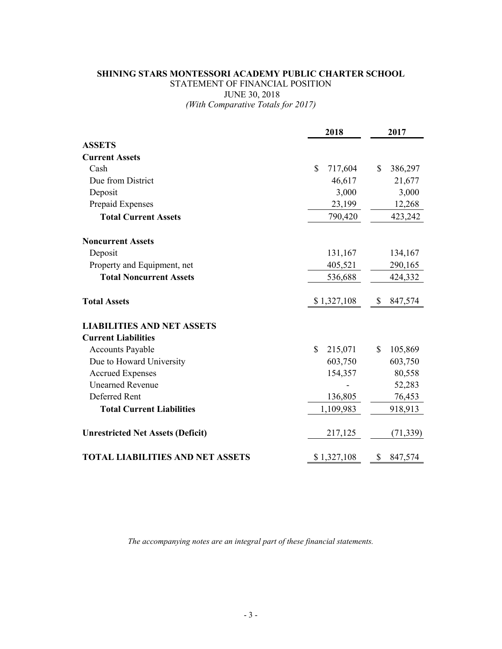# **SHINING STARS MONTESSORI ACADEMY PUBLIC CHARTER SCHOOL** STATEMENT OF FINANCIAL POSITION JUNE 30, 2018 *(With Comparative Totals for 2017)*

|                                          | 2018          |    | 2017      |  |
|------------------------------------------|---------------|----|-----------|--|
| <b>ASSETS</b>                            |               |    |           |  |
| <b>Current Assets</b>                    |               |    |           |  |
| Cash                                     | \$<br>717,604 | \$ | 386,297   |  |
| Due from District                        | 46,617        |    | 21,677    |  |
| Deposit                                  | 3,000         |    | 3,000     |  |
| Prepaid Expenses                         | 23,199        |    | 12,268    |  |
| <b>Total Current Assets</b>              | 790,420       |    | 423,242   |  |
| <b>Noncurrent Assets</b>                 |               |    |           |  |
| Deposit                                  | 131,167       |    | 134,167   |  |
| Property and Equipment, net              | 405,521       |    | 290,165   |  |
| <b>Total Noncurrent Assets</b>           | 536,688       |    | 424,332   |  |
| <b>Total Assets</b>                      | \$1,327,108   | \$ | 847,574   |  |
| <b>LIABILITIES AND NET ASSETS</b>        |               |    |           |  |
| <b>Current Liabilities</b>               |               |    |           |  |
| <b>Accounts Payable</b>                  | \$<br>215,071 | \$ | 105,869   |  |
| Due to Howard University                 | 603,750       |    | 603,750   |  |
| <b>Accrued Expenses</b>                  | 154,357       |    | 80,558    |  |
| <b>Unearned Revenue</b>                  |               |    | 52,283    |  |
| Deferred Rent                            | 136,805       |    | 76,453    |  |
| <b>Total Current Liabilities</b>         | 1,109,983     |    | 918,913   |  |
| <b>Unrestricted Net Assets (Deficit)</b> | 217,125       |    | (71, 339) |  |
| <b>TOTAL LIABILITIES AND NET ASSETS</b>  | \$1,327,108   | \$ | 847,574   |  |

*The accompanying notes are an integral part of these financial statements.*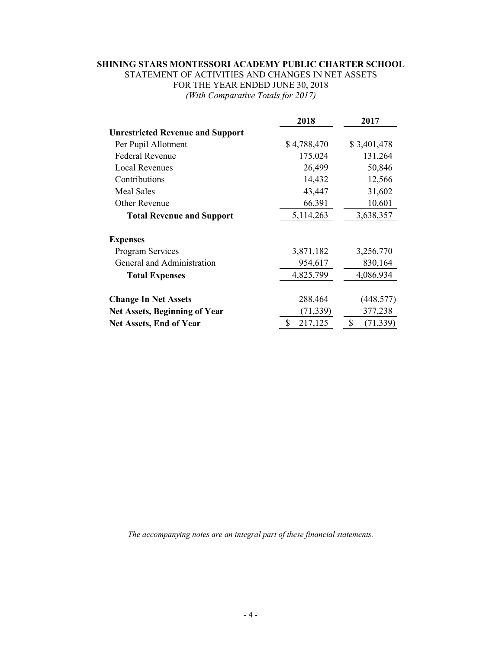# **SHINING STARS MONTESSORI ACADEMY PUBLIC CHARTER SCHOOL**

STATEMENT OF ACTIVITIES AND CHANGES IN NET ASSETS FOR THE YEAR ENDED JUNE 30, 2018 *(With Comparative Totals for 2017)*

|                                         | 2018          | 2017            |
|-----------------------------------------|---------------|-----------------|
| <b>Unrestricted Revenue and Support</b> |               |                 |
| Per Pupil Allotment                     | \$4,788,470   | \$3,401,478     |
| <b>Federal Revenue</b>                  | 175,024       | 131,264         |
| <b>Local Revenues</b>                   | 26,499        | 50,846          |
| Contributions                           | 14,432        | 12,566          |
| <b>Meal Sales</b>                       | 43,447        | 31,602          |
| Other Revenue                           | 66,391        | 10,601          |
| <b>Total Revenue and Support</b>        | 5,114,263     | 3,638,357       |
| <b>Expenses</b>                         |               |                 |
| <b>Program Services</b>                 | 3,871,182     | 3,256,770       |
| General and Administration              | 954,617       | 830,164         |
| <b>Total Expenses</b>                   | 4,825,799     | 4,086,934       |
| <b>Change In Net Assets</b>             | 288,464       | (448, 577)      |
| <b>Net Assets, Beginning of Year</b>    | (71, 339)     | 377,238         |
| <b>Net Assets, End of Year</b>          | \$<br>217,125 | \$<br>(71, 339) |

*The accompanying notes are an integral part of these financial statements.*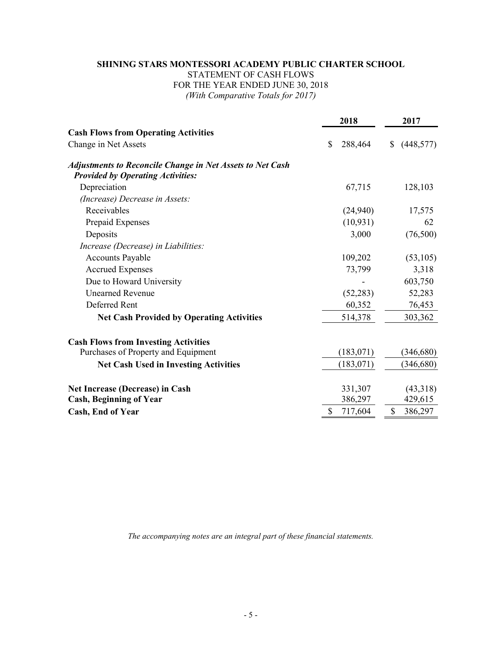# **SHINING STARS MONTESSORI ACADEMY PUBLIC CHARTER SCHOOL** STATEMENT OF CASH FLOWS FOR THE YEAR ENDED JUNE 30, 2018 *(With Comparative Totals for 2017)*

|                                                                                                              |    | 2018       | 2017             |  |
|--------------------------------------------------------------------------------------------------------------|----|------------|------------------|--|
| <b>Cash Flows from Operating Activities</b>                                                                  |    |            |                  |  |
| Change in Net Assets                                                                                         | \$ | 288,464    | (448, 577)<br>\$ |  |
| <b>Adjustments to Reconcile Change in Net Assets to Net Cash</b><br><b>Provided by Operating Activities:</b> |    |            |                  |  |
| Depreciation                                                                                                 |    | 67,715     | 128,103          |  |
| (Increase) Decrease in Assets:                                                                               |    |            |                  |  |
| Receivables                                                                                                  |    | (24,940)   | 17,575           |  |
| Prepaid Expenses                                                                                             |    | (10, 931)  | 62               |  |
| Deposits                                                                                                     |    | 3,000      | (76,500)         |  |
| Increase (Decrease) in Liabilities:                                                                          |    |            |                  |  |
| <b>Accounts Payable</b>                                                                                      |    | 109,202    | (53, 105)        |  |
| <b>Accrued Expenses</b>                                                                                      |    | 73,799     | 3,318            |  |
| Due to Howard University                                                                                     |    |            | 603,750          |  |
| <b>Unearned Revenue</b>                                                                                      |    | (52, 283)  | 52,283           |  |
| Deferred Rent                                                                                                |    | 60,352     | 76,453           |  |
| <b>Net Cash Provided by Operating Activities</b>                                                             |    | 514,378    | 303,362          |  |
| <b>Cash Flows from Investing Activities</b>                                                                  |    |            |                  |  |
| Purchases of Property and Equipment                                                                          |    | (183, 071) | (346, 680)       |  |
| <b>Net Cash Used in Investing Activities</b>                                                                 |    | (183, 071) | (346, 680)       |  |
| <b>Net Increase (Decrease) in Cash</b>                                                                       |    | 331,307    | (43,318)         |  |
| <b>Cash, Beginning of Year</b>                                                                               |    | 386,297    | 429,615          |  |
| Cash, End of Year                                                                                            | \$ | 717,604    | \$<br>386,297    |  |
|                                                                                                              |    |            |                  |  |

*The accompanying notes are an integral part of these financial statements.*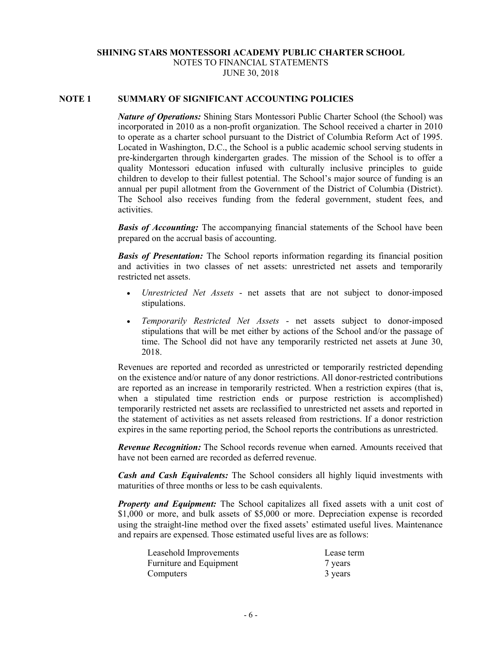# **SHINING STARS MONTESSORI ACADEMY PUBLIC CHARTER SCHOOL** NOTES TO FINANCIAL STATEMENTS JUNE 30, 2018

## **NOTE 1 SUMMARY OF SIGNIFICANT ACCOUNTING POLICIES**

*Nature of Operations:* Shining Stars Montessori Public Charter School (the School) was incorporated in 2010 as a non-profit organization. The School received a charter in 2010 to operate as a charter school pursuant to the District of Columbia Reform Act of 1995. Located in Washington, D.C., the School is a public academic school serving students in pre-kindergarten through kindergarten grades. The mission of the School is to offer a quality Montessori education infused with culturally inclusive principles to guide children to develop to their fullest potential. The School's major source of funding is an annual per pupil allotment from the Government of the District of Columbia (District). The School also receives funding from the federal government, student fees, and activities.

*Basis of Accounting:* The accompanying financial statements of the School have been prepared on the accrual basis of accounting.

*Basis of Presentation:* The School reports information regarding its financial position and activities in two classes of net assets: unrestricted net assets and temporarily restricted net assets.

- *Unrestricted Net Assets* net assets that are not subject to donor-imposed stipulations.
- *Temporarily Restricted Net Assets* net assets subject to donor-imposed stipulations that will be met either by actions of the School and/or the passage of time. The School did not have any temporarily restricted net assets at June 30, 2018.

Revenues are reported and recorded as unrestricted or temporarily restricted depending on the existence and/or nature of any donor restrictions. All donor-restricted contributions are reported as an increase in temporarily restricted. When a restriction expires (that is, when a stipulated time restriction ends or purpose restriction is accomplished) temporarily restricted net assets are reclassified to unrestricted net assets and reported in the statement of activities as net assets released from restrictions. If a donor restriction expires in the same reporting period, the School reports the contributions as unrestricted.

*Revenue Recognition:* The School records revenue when earned. Amounts received that have not been earned are recorded as deferred revenue.

*Cash and Cash Equivalents:* The School considers all highly liquid investments with maturities of three months or less to be cash equivalents.

*Property and Equipment:* The School capitalizes all fixed assets with a unit cost of \$1,000 or more, and bulk assets of \$5,000 or more. Depreciation expense is recorded using the straight-line method over the fixed assets' estimated useful lives. Maintenance and repairs are expensed. Those estimated useful lives are as follows:

| Leasehold Improvements  | Lease term |
|-------------------------|------------|
| Furniture and Equipment | 7 years    |
| Computers               | 3 years    |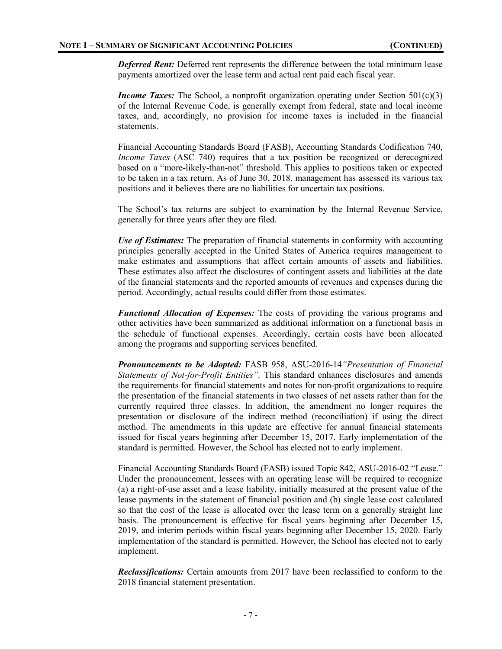*Deferred Rent:* Deferred rent represents the difference between the total minimum lease payments amortized over the lease term and actual rent paid each fiscal year.

*Income Taxes:* The School, a nonprofit organization operating under Section 501(c)(3) of the Internal Revenue Code, is generally exempt from federal, state and local income taxes, and, accordingly, no provision for income taxes is included in the financial statements.

Financial Accounting Standards Board (FASB), Accounting Standards Codification 740, *Income Taxes* (ASC 740) requires that a tax position be recognized or derecognized based on a "more-likely-than-not" threshold. This applies to positions taken or expected to be taken in a tax return. As of June 30, 2018, management has assessed its various tax positions and it believes there are no liabilities for uncertain tax positions.

The School's tax returns are subject to examination by the Internal Revenue Service, generally for three years after they are filed.

*Use of Estimates:* The preparation of financial statements in conformity with accounting principles generally accepted in the United States of America requires management to make estimates and assumptions that affect certain amounts of assets and liabilities. These estimates also affect the disclosures of contingent assets and liabilities at the date of the financial statements and the reported amounts of revenues and expenses during the period. Accordingly, actual results could differ from those estimates.

*Functional Allocation of Expenses:* The costs of providing the various programs and other activities have been summarized as additional information on a functional basis in the schedule of functional expenses. Accordingly, certain costs have been allocated among the programs and supporting services benefited.

*Pronouncements to be Adopted:* FASB 958, ASU-2016-14*"Presentation of Financial Statements of Not-for-Profit Entities".* This standard enhances disclosures and amends the requirements for financial statements and notes for non-profit organizations to require the presentation of the financial statements in two classes of net assets rather than for the currently required three classes. In addition, the amendment no longer requires the presentation or disclosure of the indirect method (reconciliation) if using the direct method. The amendments in this update are effective for annual financial statements issued for fiscal years beginning after December 15, 2017. Early implementation of the standard is permitted. However, the School has elected not to early implement.

Financial Accounting Standards Board (FASB) issued Topic 842, ASU-2016-02 "Lease." Under the pronouncement, lessees with an operating lease will be required to recognize (a) a right-of-use asset and a lease liability, initially measured at the present value of the lease payments in the statement of financial position and (b) single lease cost calculated so that the cost of the lease is allocated over the lease term on a generally straight line basis. The pronouncement is effective for fiscal years beginning after December 15, 2019, and interim periods within fiscal years beginning after December 15, 2020. Early implementation of the standard is permitted. However, the School has elected not to early implement.

*Reclassifications:* Certain amounts from 2017 have been reclassified to conform to the 2018 financial statement presentation.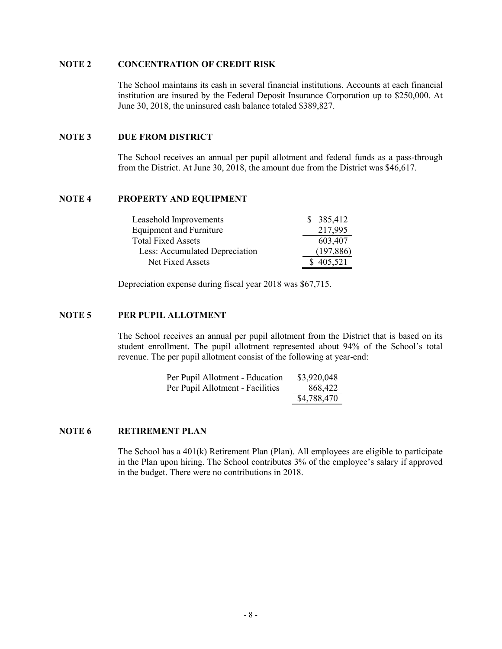## **NOTE 2 CONCENTRATION OF CREDIT RISK**

The School maintains its cash in several financial institutions. Accounts at each financial institution are insured by the Federal Deposit Insurance Corporation up to \$250,000. At June 30, 2018, the uninsured cash balance totaled \$389,827.

## **NOTE 3 DUE FROM DISTRICT**

The School receives an annual per pupil allotment and federal funds as a pass-through from the District. At June 30, 2018, the amount due from the District was \$46,617.

### **NOTE 4 PROPERTY AND EQUIPMENT**

| Leasehold Improvements         | \$385,412  |
|--------------------------------|------------|
| <b>Equipment and Furniture</b> | 217,995    |
| <b>Total Fixed Assets</b>      | 603,407    |
| Less: Accumulated Depreciation | (197, 886) |
| Net Fixed Assets               | \$405,521  |

Depreciation expense during fiscal year 2018 was \$67,715.

# **NOTE 5 PER PUPIL ALLOTMENT**

The School receives an annual per pupil allotment from the District that is based on its student enrollment. The pupil allotment represented about 94% of the School's total revenue. The per pupil allotment consist of the following at year-end:

| Per Pupil Allotment - Education  | \$3,920,048 |
|----------------------------------|-------------|
| Per Pupil Allotment - Facilities | 868,422     |
|                                  | \$4,788,470 |

#### **NOTE 6 RETIREMENT PLAN**

The School has a 401(k) Retirement Plan (Plan). All employees are eligible to participate in the Plan upon hiring. The School contributes 3% of the employee's salary if approved in the budget. There were no contributions in 2018.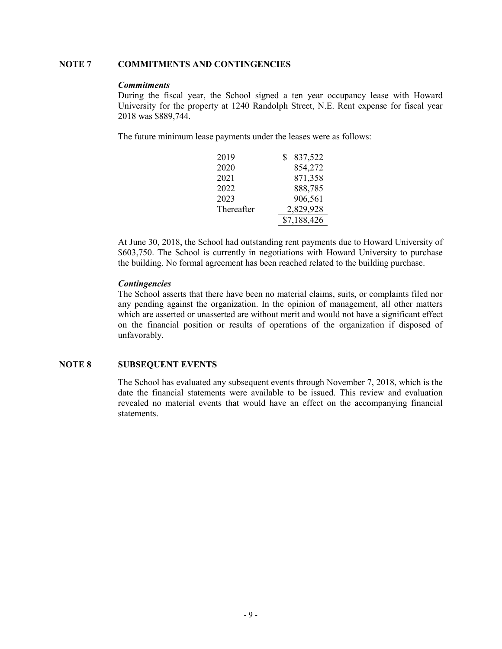# **NOTE 7 COMMITMENTS AND CONTINGENCIES**

#### *Commitments*

During the fiscal year, the School signed a ten year occupancy lease with Howard University for the property at 1240 Randolph Street, N.E. Rent expense for fiscal year 2018 was \$889,744.

The future minimum lease payments under the leases were as follows:

| 2019       | 837,522     |
|------------|-------------|
| 2020       | 854,272     |
| 2021       | 871,358     |
| 2022       | 888,785     |
| 2023       | 906,561     |
| Thereafter | 2,829,928   |
|            | \$7,188,426 |

At June 30, 2018, the School had outstanding rent payments due to Howard University of \$603,750. The School is currently in negotiations with Howard University to purchase the building. No formal agreement has been reached related to the building purchase.

## *Contingencies*

The School asserts that there have been no material claims, suits, or complaints filed nor any pending against the organization. In the opinion of management, all other matters which are asserted or unasserted are without merit and would not have a significant effect on the financial position or results of operations of the organization if disposed of unfavorably.

# **NOTE 8 SUBSEQUENT EVENTS**

The School has evaluated any subsequent events through November 7, 2018, which is the date the financial statements were available to be issued. This review and evaluation revealed no material events that would have an effect on the accompanying financial statements.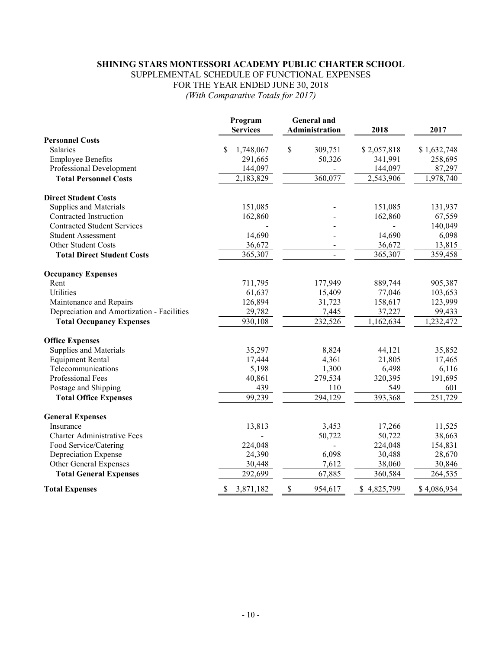# **SHINING STARS MONTESSORI ACADEMY PUBLIC CHARTER SCHOOL**

SUPPLEMENTAL SCHEDULE OF FUNCTIONAL EXPENSES FOR THE YEAR ENDED JUNE 30, 2018

*(With Comparative Totals for 2017)*

|                                            | Program<br><b>Services</b> | <b>General</b> and<br>Administration | 2018        | 2017        |
|--------------------------------------------|----------------------------|--------------------------------------|-------------|-------------|
| <b>Personnel Costs</b>                     |                            |                                      |             |             |
| <b>Salaries</b>                            | \$<br>1,748,067            | \$<br>309,751                        | \$2,057,818 | \$1,632,748 |
| <b>Employee Benefits</b>                   | 291,665                    | 50,326                               | 341,991     | 258,695     |
| Professional Development                   | 144,097                    |                                      | 144,097     | 87,297      |
| <b>Total Personnel Costs</b>               | 2,183,829                  | 360,077                              | 2,543,906   | 1,978,740   |
| <b>Direct Student Costs</b>                |                            |                                      |             |             |
| Supplies and Materials                     | 151,085                    |                                      | 151,085     | 131,937     |
| Contracted Instruction                     | 162,860                    |                                      | 162,860     | 67,559      |
| <b>Contracted Student Services</b>         |                            |                                      |             | 140,049     |
| <b>Student Assessment</b>                  | 14,690                     |                                      | 14,690      | 6,098       |
| Other Student Costs                        | 36,672                     |                                      | 36,672      | 13,815      |
| <b>Total Direct Student Costs</b>          | 365,307                    | $\overline{a}$                       | 365,307     | 359,458     |
| <b>Occupancy Expenses</b>                  |                            |                                      |             |             |
| Rent                                       | 711,795                    | 177,949                              | 889,744     | 905,387     |
| Utilities                                  | 61,637                     | 15,409                               | 77,046      | 103,653     |
| Maintenance and Repairs                    | 126,894                    | 31,723                               | 158,617     | 123,999     |
| Depreciation and Amortization - Facilities | 29,782                     | 7,445                                | 37,227      | 99,433      |
| <b>Total Occupancy Expenses</b>            | 930,108                    | 232,526                              | 1,162,634   | 1,232,472   |
| <b>Office Expenses</b>                     |                            |                                      |             |             |
| Supplies and Materials                     | 35,297                     | 8,824                                | 44,121      | 35,852      |
| <b>Equipment Rental</b>                    | 17,444                     | 4,361                                | 21,805      | 17,465      |
| Telecommunications                         | 5,198                      | 1,300                                | 6,498       | 6,116       |
| Professional Fees                          | 40,861                     | 279,534                              | 320,395     | 191,695     |
| Postage and Shipping                       | 439                        | 110                                  | 549         | 601         |
| <b>Total Office Expenses</b>               | 99,239                     | 294,129                              | 393,368     | 251,729     |
| <b>General Expenses</b>                    |                            |                                      |             |             |
| Insurance                                  | 13,813                     | 3,453                                | 17,266      | 11,525      |
| <b>Charter Administrative Fees</b>         |                            | 50,722                               | 50,722      | 38,663      |
| Food Service/Catering                      | 224,048                    |                                      | 224,048     | 154,831     |
| Depreciation Expense                       | 24,390                     | 6,098                                | 30,488      | 28,670      |
| Other General Expenses                     | 30,448                     | 7,612                                | 38,060      | 30,846      |
| <b>Total General Expenses</b>              | 292,699                    | 67,885                               | 360,584     | 264,535     |
| <b>Total Expenses</b>                      | 3,871,182<br>S             | \$<br>954,617                        | \$4,825,799 | \$4,086,934 |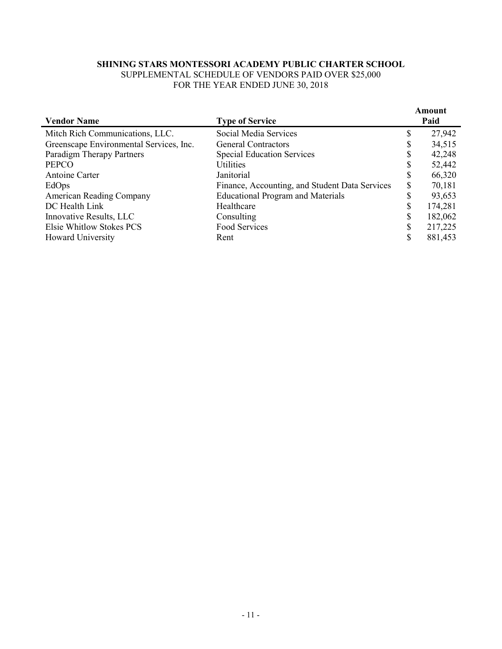# **SHINING STARS MONTESSORI ACADEMY PUBLIC CHARTER SCHOOL**

SUPPLEMENTAL SCHEDULE OF VENDORS PAID OVER \$25,000 FOR THE YEAR ENDED JUNE 30, 2018

| <b>Vendor Name</b>                      | <b>Type of Service</b>                         |    | Amount<br>Paid |
|-----------------------------------------|------------------------------------------------|----|----------------|
| Mitch Rich Communications, LLC.         | Social Media Services                          | D  | 27,942         |
| Greenscape Environmental Services, Inc. | <b>General Contractors</b>                     |    | 34,515         |
| Paradigm Therapy Partners               | <b>Special Education Services</b>              |    | 42,248         |
| <b>PEPCO</b>                            | <b>Utilities</b>                               |    | 52,442         |
| Antoine Carter                          | Janitorial                                     | D  | 66,320         |
| EdOps                                   | Finance, Accounting, and Student Data Services | ۰D | 70,181         |
| <b>American Reading Company</b>         | <b>Educational Program and Materials</b>       |    | 93,653         |
| DC Health Link                          | Healthcare                                     | S  | 174,281        |
| Innovative Results, LLC                 | Consulting                                     |    | 182,062        |
| Elsie Whitlow Stokes PCS                | Food Services                                  |    | 217,225        |
| <b>Howard University</b>                | Rent                                           | ¢  | 881,453        |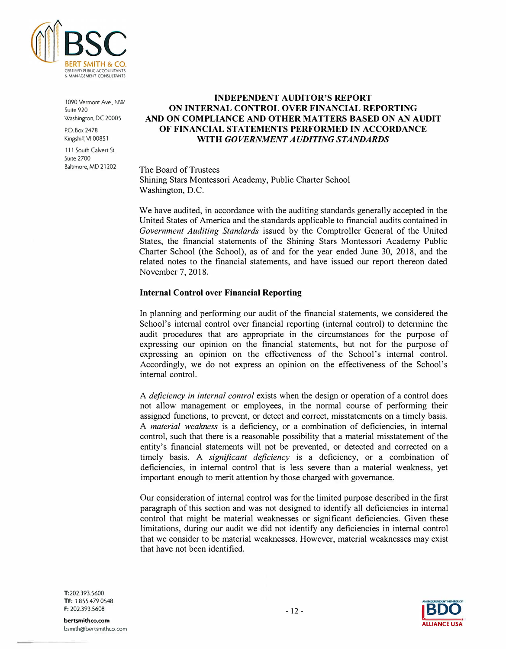

1090 Vermont Ave., NW Suite 920 Washington, DC 20005

P.O Box 2478 Kingshill, VI 00851

111 South Calvert St. Suite 2700 Baltimore, MD 21202

# **INDEPENDENT AUDITOR'S REPORT ON INTERNAL CONTROL OVER FINANCIAL REPORTING AND ON COMPLIANCE AND OTHER MATTERS BASED ON AN AUDIT OF FINANCIAL STATEMENTS PERFORMED IN ACCORDANCE WITH** *GOVERNMENT AUDITING STANDARDS*

#### The Board of Trustees

Shining Stars Montessori Academy, Public Charter School Washington, D.C.

We have audited, in accordance with the auditing standards generally accepted in the United States of America and the standards applicable to financial audits contained in *Government Auditing Standards* issued by the Comptroller General of the United States, the financial statements of the Shining Stars Montessori Academy Public Charter School (the School), as of and for the year ended June 30, 2018, and the related notes to the financial statements, and have issued our report thereon dated November 7, 2018.

## **Internal Control over Financial Reporting**

In planning and performing our audit of the financial statements, we considered the School's internal control over financial reporting (internal control) to determine the audit procedures that are appropriate in the circumstances for the purpose of expressing our opinion on the financial statements, but not for the purpose of expressing an opinion on the effectiveness of the School's internal control. Accordingly, we do not express an opinion on the effectiveness of the School's internal control.

A *deficiency in internal control* exists when the design or operation of a control does not allow management or employees, in the normal course of performing their assigned functions, to prevent, or detect and correct, misstatements on a timely basis. A *material weakness* is a deficiency, or a combination of deficiencies, in internal control, such that there is a reasonable possibility that a material misstatement of the entity's financial statements will not be prevented, or detected and corrected on a timely basis. A *significant deficiency* is a deficiency, or a combination of deficiencies, in internal control that is less severe than a material weakness, yet important enough to merit attention by those charged with governance.

Our consideration of internal control was for the limited purpose described in the first paragraph of this section and was not designed to identify all deficiencies in internal control that might be material weaknesses or significant deficiencies. Given these limitations, during our audit we did not identify any deficiencies in internal control that we consider to be material weaknesses. However, material weaknesses may exist that have not been identified.

T:202.393.5600 TF: 1.855.479.0548 F: 202.393.5608